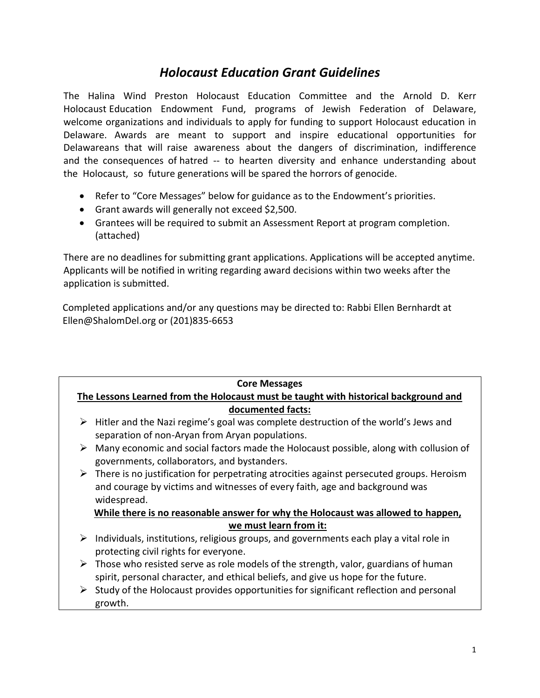## *Holocaust Education Grant Guidelines*

The Halina Wind Preston Holocaust Education Committee and the Arnold D. Kerr Holocaust Education Endowment Fund, programs of Jewish Federation of Delaware, welcome organizations and individuals to apply for funding to support Holocaust education in Delaware. Awards are meant to support and inspire educational opportunities for Delawareans that will raise awareness about the dangers of discrimination, indifference and the consequences of hatred -- to hearten diversity and enhance understanding about the Holocaust, so future generations will be spared the horrors of genocide.

- Refer to "Core Messages" below for guidance as to the Endowment's priorities.
- Grant awards will generally not exceed \$2,500.
- Grantees will be required to submit an Assessment Report at program completion. (attached)

There are no deadlines for submitting grant applications. Applications will be accepted anytime. Applicants will be notified in writing regarding award decisions within two weeks after the application is submitted.

Completed applications and/or any questions may be directed to: Rabbi Ellen Bernhardt at Ellen@ShalomDel.org or (201)835-6653

| <b>Core Messages</b>                                                                 |                                                                                                                                      |
|--------------------------------------------------------------------------------------|--------------------------------------------------------------------------------------------------------------------------------------|
| The Lessons Learned from the Holocaust must be taught with historical background and |                                                                                                                                      |
| documented facts:                                                                    |                                                                                                                                      |
| ➤                                                                                    | Hitler and the Nazi regime's goal was complete destruction of the world's Jews and                                                   |
|                                                                                      | separation of non-Aryan from Aryan populations.                                                                                      |
| ➤                                                                                    | Many economic and social factors made the Holocaust possible, along with collusion of<br>governments, collaborators, and bystanders. |
|                                                                                      | $\triangleright$ There is no justification for perpetrating atrocities against persecuted groups. Heroism                            |
|                                                                                      | and courage by victims and witnesses of every faith, age and background was                                                          |
|                                                                                      | widespread.                                                                                                                          |
|                                                                                      | While there is no reasonable answer for why the Holocaust was allowed to happen,                                                     |
| we must learn from it:                                                               |                                                                                                                                      |
| ➤                                                                                    | Individuals, institutions, religious groups, and governments each play a vital role in                                               |
|                                                                                      | protecting civil rights for everyone.                                                                                                |
|                                                                                      | $\triangleright$ Those who resisted serve as role models of the strength, valor, guardians of human                                  |
|                                                                                      | spirit, personal character, and ethical beliefs, and give us hope for the future.                                                    |
|                                                                                      | Study of the Holocaust provides opportunities for significant reflection and personal                                                |
|                                                                                      | growth.                                                                                                                              |
|                                                                                      |                                                                                                                                      |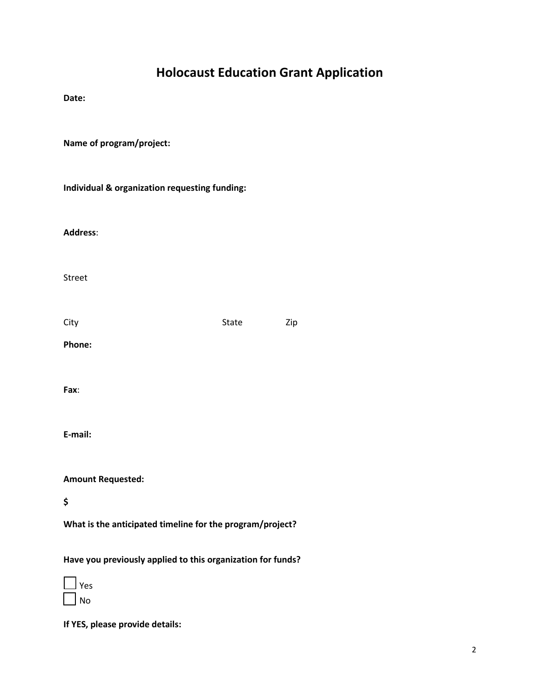## **Holocaust Education Grant Application**

**Date:** 

**Name of program/project:** 

**Individual & organization requesting funding:** 

**Address**:

Street

City **State** Zip

**Phone:** 

**Fax**:

**E-mail:**

**Amount Requested:** 

**\$**

**What is the anticipated timeline for the program/project?** 

**Have you previously applied to this organization for funds?** 

 Yes No

**If YES, please provide details:**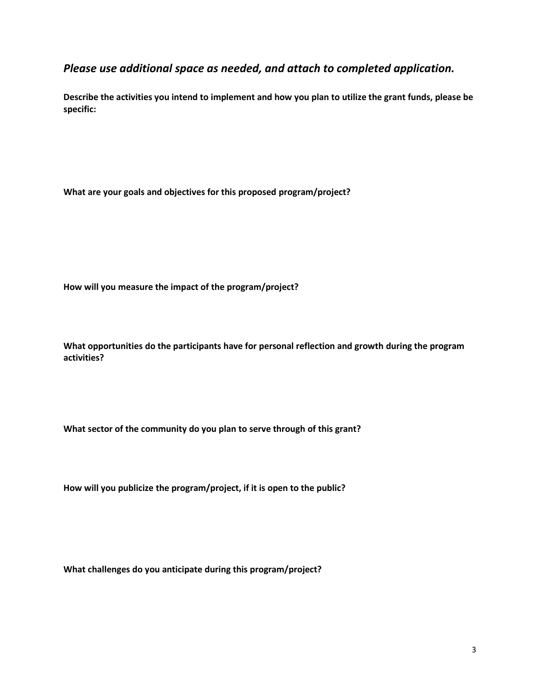## *Please use additional space as needed, and attach to completed application.*

**Describe the activities you intend to implement and how you plan to utilize the grant funds, please be specific:**

**What are your goals and objectives for this proposed program/project?**

**How will you measure the impact of the program/project?**

**What opportunities do the participants have for personal reflection and growth during the program activities?** 

**What sector of the community do you plan to serve through of this grant?**

**How will you publicize the program/project, if it is open to the public?**

**What challenges do you anticipate during this program/project?**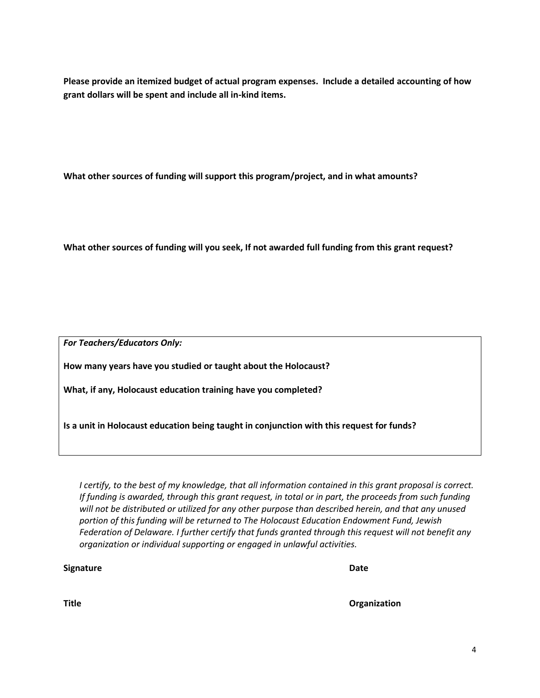**Please provide an itemized budget of actual program expenses. Include a detailed accounting of how grant dollars will be spent and include all in-kind items.**

**What other sources of funding will support this program/project, and in what amounts?**

**What other sources of funding will you seek, If not awarded full funding from this grant request?**

*For Teachers/Educators Only:*

**How many years have you studied or taught about the Holocaust?**

**What, if any, Holocaust education training have you completed?**

**Is a unit in Holocaust education being taught in conjunction with this request for funds?**

*I certify, to the best of my knowledge, that all information contained in this grant proposal is correct. If funding is awarded, through this grant request, in total or in part, the proceeds from such funding will not be distributed or utilized for any other purpose than described herein, and that any unused portion of this funding will be returned to The Holocaust Education Endowment Fund, Jewish Federation of Delaware. I further certify that funds granted through this request will not benefit any organization or individual supporting or engaged in unlawful activities.* 

**Signature** Date **Date** 

**Title Organization**